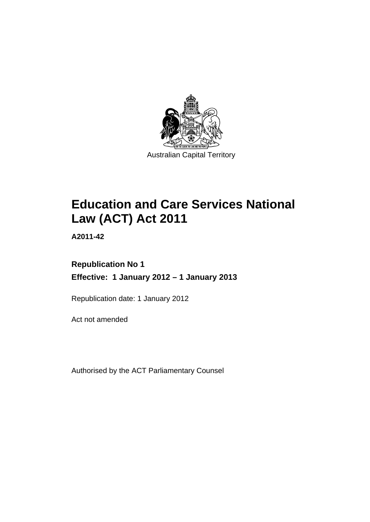

# **Education and Care Services National Law (ACT) Act 2011**

**A2011-42** 

# **Republication No 1 Effective: 1 January 2012 – 1 January 2013**

Republication date: 1 January 2012

Act not amended

Authorised by the ACT Parliamentary Counsel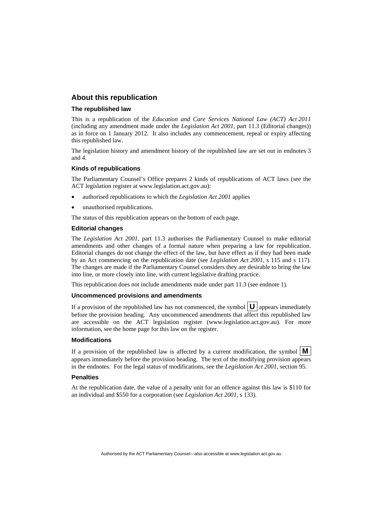#### **About this republication**

#### **The republished law**

This is a republication of the *Education and Care Services National Law (ACT) Act 2011* (including any amendment made under the *Legislation Act 2001*, part 11.3 (Editorial changes)) as in force on 1 January 2012*.* It also includes any commencement, repeal or expiry affecting this republished law.

The legislation history and amendment history of the republished law are set out in endnotes 3 and 4.

#### **Kinds of republications**

The Parliamentary Counsel's Office prepares 2 kinds of republications of ACT laws (see the ACT legislation register at www.legislation.act.gov.au):

- authorised republications to which the *Legislation Act 2001* applies
- unauthorised republications.

The status of this republication appears on the bottom of each page.

#### **Editorial changes**

The *Legislation Act 2001*, part 11.3 authorises the Parliamentary Counsel to make editorial amendments and other changes of a formal nature when preparing a law for republication. Editorial changes do not change the effect of the law, but have effect as if they had been made by an Act commencing on the republication date (see *Legislation Act 2001*, s 115 and s 117). The changes are made if the Parliamentary Counsel considers they are desirable to bring the law into line, or more closely into line, with current legislative drafting practice.

This republication does not include amendments made under part 11.3 (see endnote 1).

#### **Uncommenced provisions and amendments**

If a provision of the republished law has not commenced, the symbol  $\mathbf{U}$  appears immediately before the provision heading. Any uncommenced amendments that affect this republished law are accessible on the ACT legislation register (www.legislation.act.gov.au). For more information, see the home page for this law on the register.

#### **Modifications**

If a provision of the republished law is affected by a current modification, the symbol  $\mathbf{M}$ appears immediately before the provision heading. The text of the modifying provision appears in the endnotes. For the legal status of modifications, see the *Legislation Act 2001*, section 95.

#### **Penalties**

At the republication date, the value of a penalty unit for an offence against this law is \$110 for an individual and \$550 for a corporation (see *Legislation Act 2001*, s 133).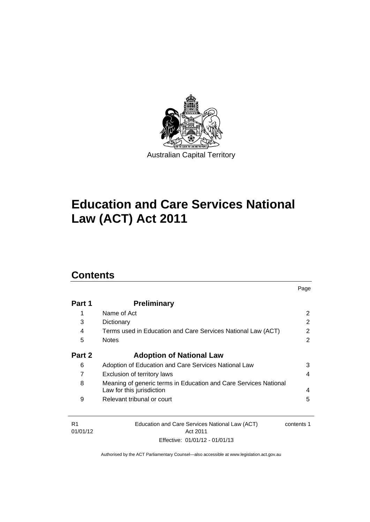

# **Education and Care Services National Law (ACT) Act 2011**

# **Contents**

| Part 1 | <b>Preliminary</b>                                                                            |   |
|--------|-----------------------------------------------------------------------------------------------|---|
| 1      | Name of Act                                                                                   | 2 |
| 3      | Dictionary                                                                                    | 2 |
| 4      | Terms used in Education and Care Services National Law (ACT)                                  | 2 |
| 5      | <b>Notes</b>                                                                                  | 2 |
| Part 2 | <b>Adoption of National Law</b>                                                               |   |
| 6      | Adoption of Education and Care Services National Law                                          | 3 |
| 7      | Exclusion of territory laws                                                                   | 4 |
| 8      | Meaning of generic terms in Education and Care Services National<br>Law for this jurisdiction | 4 |
| 9      | Relevant tribunal or court                                                                    | 5 |

Page

| - R1     | Education and Care Services National Law (ACT) | contents 1 |
|----------|------------------------------------------------|------------|
| 01/01/12 | Act 2011                                       |            |
|          | Effective: 01/01/12 - 01/01/13                 |            |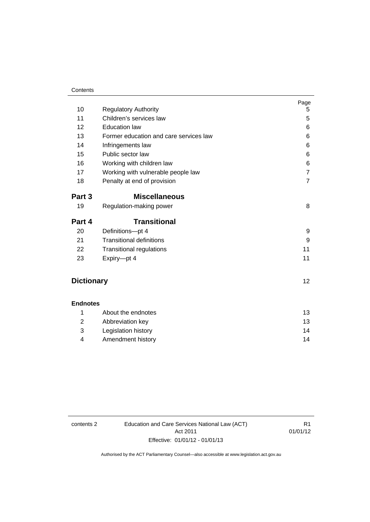#### **Contents**

| 10                | <b>Regulatory Authority</b>            | Page<br>5           |
|-------------------|----------------------------------------|---------------------|
| 11                | Children's services law                | 5                   |
| 12                | <b>Education law</b>                   | 6                   |
| 13                | Former education and care services law | 6                   |
| 14                |                                        | 6                   |
| 15                | Infringements law<br>Public sector law | 6                   |
| 16                |                                        |                     |
|                   | Working with children law              | 6<br>$\overline{7}$ |
| 17                | Working with vulnerable people law     |                     |
| 18                | Penalty at end of provision            | $\overline{7}$      |
| Part 3            | <b>Miscellaneous</b>                   |                     |
| 19                | Regulation-making power                | 8                   |
| Part 4            | <b>Transitional</b>                    |                     |
| 20                | Definitions-pt 4                       | 9                   |
| 21                | <b>Transitional definitions</b>        | 9                   |
| 22                | Transitional regulations               | 11                  |
| 23                | Expiry-pt 4                            | 11                  |
|                   |                                        |                     |
| <b>Dictionary</b> |                                        | 12 <sub>2</sub>     |
| <b>Endnotes</b>   |                                        |                     |
| 1                 | About the endnotes                     | 13                  |
| 2                 | Abbreviation key                       | 13                  |
| 3                 | Legislation history                    | 14                  |
|                   |                                        |                     |

contents 2 Education and Care Services National Law (ACT) Act 2011 Effective: 01/01/12 - 01/01/13

R1 01/01/12

Authorised by the ACT Parliamentary Counsel—also accessible at www.legislation.act.gov.au

4 [Amendment history 14](#page-17-1)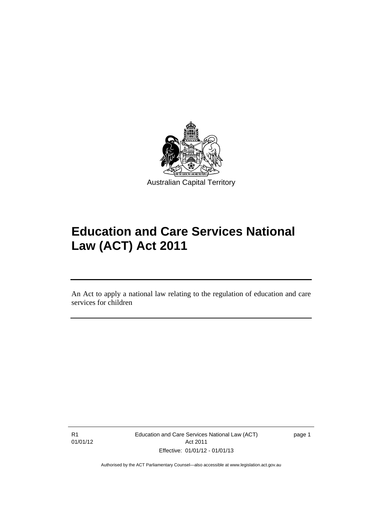

# **Education and Care Services National Law (ACT) Act 2011**

An Act to apply a national law relating to the regulation of education and care services for children

R1 01/01/12

Ī

Education and Care Services National Law (ACT) Act 2011 Effective: 01/01/12 - 01/01/13

page 1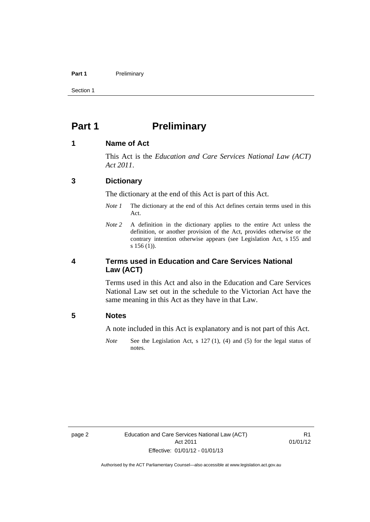#### Part 1 **Preliminary**

Section 1

### <span id="page-5-0"></span>**Part 1** Preliminary

#### <span id="page-5-1"></span>**1 Name of Act**

This Act is the *Education and Care Services National Law (ACT) Act 2011*.

#### <span id="page-5-2"></span>**3 Dictionary**

The dictionary at the end of this Act is part of this Act.

- *Note 1* The dictionary at the end of this Act defines certain terms used in this Act.
- *Note 2* A definition in the dictionary applies to the entire Act unless the definition, or another provision of the Act, provides otherwise or the contrary intention otherwise appears (see Legislation Act, s 155 and s 156 (1)).

#### <span id="page-5-3"></span>**4 Terms used in Education and Care Services National Law (ACT)**

Terms used in this Act and also in the Education and Care Services National Law set out in the schedule to the Victorian Act have the same meaning in this Act as they have in that Law.

#### <span id="page-5-4"></span>**5 Notes**

A note included in this Act is explanatory and is not part of this Act.

*Note* See the Legislation Act, s 127 (1), (4) and (5) for the legal status of notes.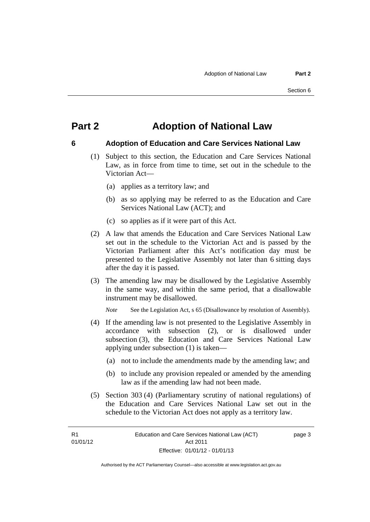### <span id="page-6-0"></span>**Part 2 Adoption of National Law**

### <span id="page-6-1"></span>**6 Adoption of Education and Care Services National Law**

- (1) Subject to this section, the Education and Care Services National Law, as in force from time to time, set out in the schedule to the Victorian Act—
	- (a) applies as a territory law; and
	- (b) as so applying may be referred to as the Education and Care Services National Law (ACT); and
	- (c) so applies as if it were part of this Act.
- (2) A law that amends the Education and Care Services National Law set out in the schedule to the Victorian Act and is passed by the Victorian Parliament after this Act's notification day must be presented to the Legislative Assembly not later than 6 sitting days after the day it is passed.
- (3) The amending law may be disallowed by the Legislative Assembly in the same way, and within the same period, that a disallowable instrument may be disallowed.

*Note* See the Legislation Act, s 65 (Disallowance by resolution of Assembly).

- (4) If the amending law is not presented to the Legislative Assembly in accordance with subsection (2), or is disallowed under subsection (3), the Education and Care Services National Law applying under subsection (1) is taken—
	- (a) not to include the amendments made by the amending law; and
	- (b) to include any provision repealed or amended by the amending law as if the amending law had not been made.
- (5) Section 303 (4) (Parliamentary scrutiny of national regulations) of the Education and Care Services National Law set out in the schedule to the Victorian Act does not apply as a territory law.

R1 01/01/12 page 3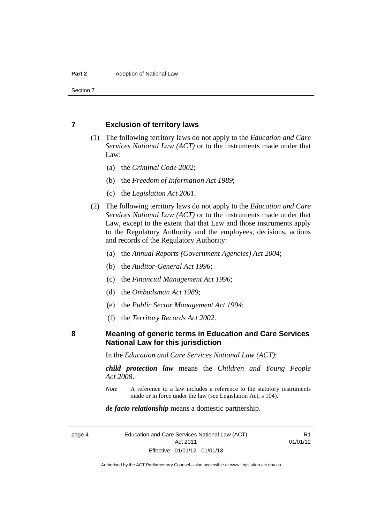Section 7

#### <span id="page-7-0"></span>**7 Exclusion of territory laws**

- (1) The following territory laws do not apply to the *Education and Care Services National Law (ACT)* or to the instruments made under that Law:
	- (a) the *Criminal Code 2002*;
	- (b) the *Freedom of Information Act 1989*;
	- (c) the *Legislation Act 2001*.
- (2) The following territory laws do not apply to the *Education and Care Services National Law (ACT)* or to the instruments made under that Law, except to the extent that that Law and those instruments apply to the Regulatory Authority and the employees, decisions, actions and records of the Regulatory Authority:
	- (a) the *Annual Reports (Government Agencies) Act 2004*;
	- (b) the *Auditor-General Act 1996*;
	- (c) the *Financial Management Act 1996*;
	- (d) the *Ombudsman Act 1989*;
	- (e) the *Public Sector Management Act 1994*;
	- (f) the *Territory Records Act 2002*.

<span id="page-7-1"></span>**8 Meaning of generic terms in Education and Care Services National Law for this jurisdiction**

In the *Education and Care Services National Law (ACT)*:

*child protection law* means the *Children and Young People Act 2008*.

*Note* A reference to a law includes a reference to the statutory instruments made or in force under the law (see Legislation Act, s 104).

#### *de facto relationship* means a domestic partnership.

page 4 Education and Care Services National Law (ACT) Act 2011 Effective: 01/01/12 - 01/01/13

R1 01/01/12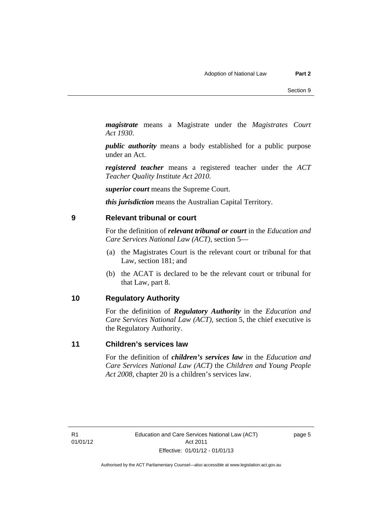*magistrate* means a Magistrate under the *Magistrates Court Act 1930*.

*public authority* means a body established for a public purpose under an Act.

*registered teacher* means a registered teacher under the *ACT Teacher Quality Institute Act 2010.*

*superior court* means the Supreme Court.

*this jurisdiction* means the Australian Capital Territory.

#### <span id="page-8-0"></span>**9 Relevant tribunal or court**

For the definition of *relevant tribunal or court* in the *Education and Care Services National Law (ACT)*, section 5—

- (a) the Magistrates Court is the relevant court or tribunal for that Law, section 181; and
- (b) the ACAT is declared to be the relevant court or tribunal for that Law, part 8.

#### <span id="page-8-1"></span>**10 Regulatory Authority**

For the definition of *Regulatory Authority* in the *Education and Care Services National Law (ACT)*, section 5, the chief executive is the Regulatory Authority.

#### <span id="page-8-2"></span>**11 Children's services law**

For the definition of *children's services law* in the *Education and Care Services National Law (ACT)* the *Children and Young People Act 2008*, chapter 20 is a children's services law.

R1 01/01/12 page 5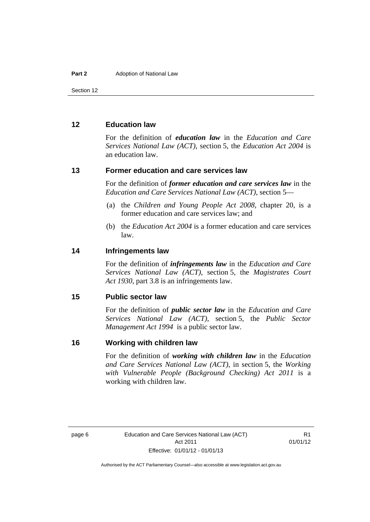Section 12

#### <span id="page-9-0"></span>**12 Education law**

For the definition of *education law* in the *Education and Care Services National Law (ACT)*, section 5, the *Education Act 2004* is an education law.

#### <span id="page-9-1"></span>**13 Former education and care services law**

For the definition of *former education and care services law* in the *Education and Care Services National Law (ACT)*, section 5—

- (a) the *Children and Young People Act 2008*, chapter 20, is a former education and care services law; and
- (b) the *Education Act 2004* is a former education and care services law.

#### <span id="page-9-2"></span>**14 Infringements law**

For the definition of *infringements law* in the *Education and Care Services National Law (ACT)*, section 5, the *Magistrates Court Act 1930*, part 3.8 is an infringements law.

#### <span id="page-9-3"></span>**15 Public sector law**

For the definition of *public sector law* in the *Education and Care Services National Law (ACT)*, section 5, the *Public Sector Management Act 1994* is a public sector law.

#### <span id="page-9-4"></span>**16 Working with children law**

For the definition of *working with children law* in the *Education and Care Services National Law (ACT)*, in section 5, the *Working with Vulnerable People (Background Checking) Act 2011* is a working with children law.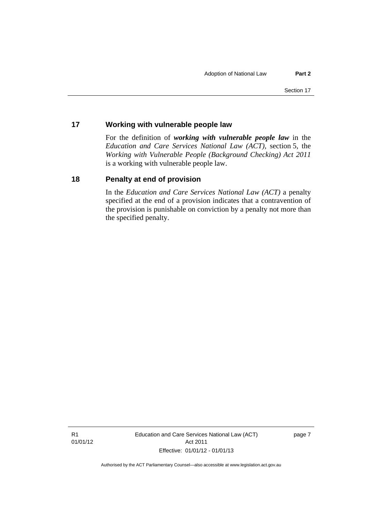#### <span id="page-10-0"></span>**17 Working with vulnerable people law**

For the definition of *working with vulnerable people law* in the *Education and Care Services National Law (ACT)*, section 5, the *Working with Vulnerable People (Background Checking) Act 2011* is a working with vulnerable people law.

#### <span id="page-10-1"></span>**18 Penalty at end of provision**

In the *Education and Care Services National Law (ACT)* a penalty specified at the end of a provision indicates that a contravention of the provision is punishable on conviction by a penalty not more than the specified penalty.

R1 01/01/12 Education and Care Services National Law (ACT) Act 2011 Effective: 01/01/12 - 01/01/13

page 7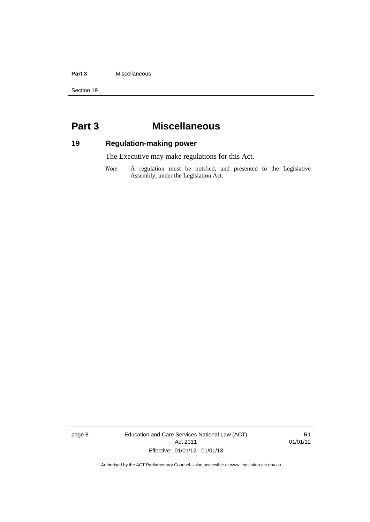#### **Part 3** Miscellaneous

Section 19

## <span id="page-11-0"></span>**Part 3 Miscellaneous**

### <span id="page-11-1"></span>**19 Regulation-making power**

The Executive may make regulations for this Act.

*Note* A regulation must be notified, and presented to the Legislative Assembly, under the Legislation Act.

page 8 Education and Care Services National Law (ACT) Act 2011 Effective: 01/01/12 - 01/01/13

R1 01/01/12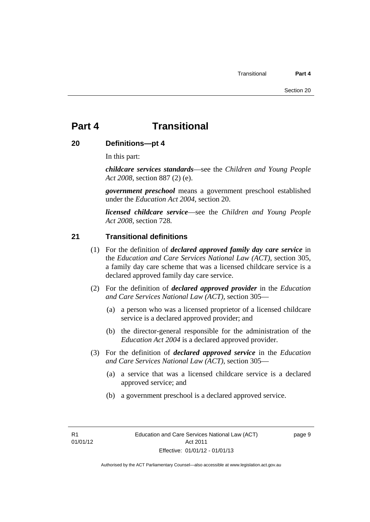# <span id="page-12-0"></span>**Part 4 Transitional**

#### <span id="page-12-1"></span>**20 Definitions—pt 4**

In this part:

*childcare services standards*—see the *Children and Young People Act 2008*, section 887 (2) (e).

*government preschool* means a government preschool established under the *Education Act 2004*, section 20.

*licensed childcare service*—see the *Children and Young People Act 2008,* section 728*.*

#### <span id="page-12-2"></span>**21 Transitional definitions**

- (1) For the definition of *declared approved family day care service* in the *Education and Care Services National Law (ACT)*, section 305, a family day care scheme that was a licensed childcare service is a declared approved family day care service.
- (2) For the definition of *declared approved provider* in the *Education and Care Services National Law (ACT)*, section 305—
	- (a) a person who was a licensed proprietor of a licensed childcare service is a declared approved provider; and
	- (b) the director-general responsible for the administration of the *Education Act 2004* is a declared approved provider.
- (3) For the definition of *declared approved service* in the *Education and Care Services National Law (ACT)*, section 305—
	- (a) a service that was a licensed childcare service is a declared approved service; and
	- (b) a government preschool is a declared approved service.

R1 01/01/12 page 9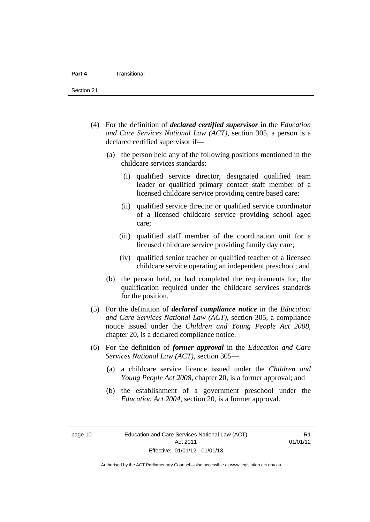Section 21

- (4) For the definition of *declared certified supervisor* in the *Education and Care Services National Law (ACT)*, section 305, a person is a declared certified supervisor if—
	- (a) the person held any of the following positions mentioned in the childcare services standards:
		- (i) qualified service director, designated qualified team leader or qualified primary contact staff member of a licensed childcare service providing centre based care;
		- (ii) qualified service director or qualified service coordinator of a licensed childcare service providing school aged care;
		- (iii) qualified staff member of the coordination unit for a licensed childcare service providing family day care;
		- (iv) qualified senior teacher or qualified teacher of a licensed childcare service operating an independent preschool; and
	- (b) the person held, or had completed the requirements for, the qualification required under the childcare services standards for the position.
- (5) For the definition of *declared compliance notice* in the *Education and Care Services National Law (ACT)*, section 305, a compliance notice issued under the *Children and Young People Act 2008*, chapter 20, is a declared compliance notice.
- (6) For the definition of *former approval* in the *Education and Care Services National Law (ACT)*, section 305—
	- (a) a childcare service licence issued under the *Children and Young People Act 2008*, chapter 20, is a former approval; and
	- (b) the establishment of a government preschool under the *Education Act 2004*, section 20, is a former approval.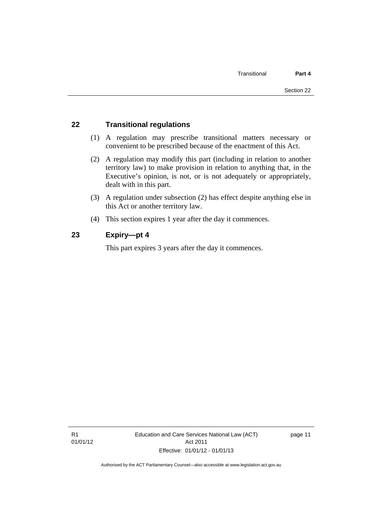#### <span id="page-14-0"></span>**22 Transitional regulations**

- (1) A regulation may prescribe transitional matters necessary or convenient to be prescribed because of the enactment of this Act.
- (2) A regulation may modify this part (including in relation to another territory law) to make provision in relation to anything that, in the Executive's opinion, is not, or is not adequately or appropriately, dealt with in this part.
- (3) A regulation under subsection (2) has effect despite anything else in this Act or another territory law.
- (4) This section expires 1 year after the day it commences.

#### <span id="page-14-1"></span>**23 Expiry—pt 4**

This part expires 3 years after the day it commences.

R1 01/01/12 Education and Care Services National Law (ACT) Act 2011 Effective: 01/01/12 - 01/01/13

page 11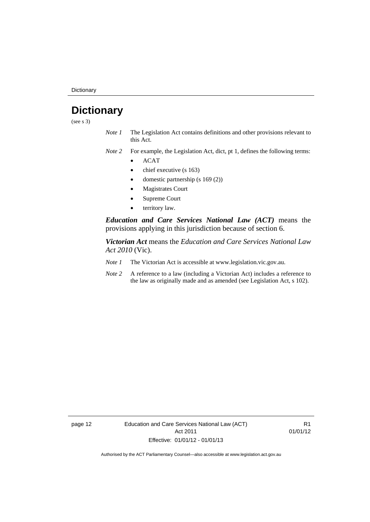**Dictionary** 

# <span id="page-15-0"></span>**Dictionary**

(see s 3)

- *Note 1* The Legislation Act contains definitions and other provisions relevant to this Act.
- *Note 2* For example, the Legislation Act, dict, pt 1, defines the following terms:
	- ACAT
	- chief executive (s 163)
	- domestic partnership (s 169 (2))
	- Magistrates Court
	- Supreme Court
	- territory law.

*Education and Care Services National Law (ACT)* means the provisions applying in this jurisdiction because of section 6.

*Victorian Act* means the *Education and Care Services National Law Act 2010* (Vic).

- *Note 1* The Victorian Act is accessible at www.legislation.vic.gov.au.
- *Note 2* A reference to a law (including a Victorian Act) includes a reference to the law as originally made and as amended (see Legislation Act, s 102).

page 12 Education and Care Services National Law (ACT) Act 2011 Effective: 01/01/12 - 01/01/13

R1 01/01/12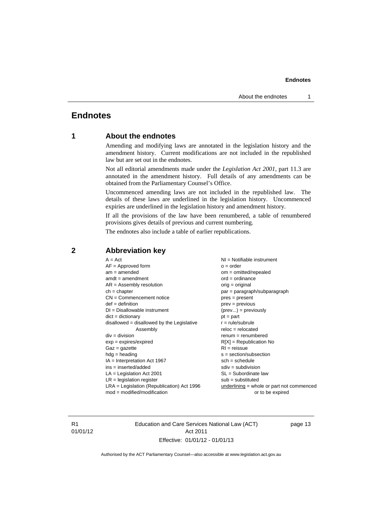#### **Endnotes**

#### <span id="page-16-0"></span>**Endnotes**

#### **1 About the endnotes**

Amending and modifying laws are annotated in the legislation history and the amendment history. Current modifications are not included in the republished law but are set out in the endnotes.

Not all editorial amendments made under the *Legislation Act 2001*, part 11.3 are annotated in the amendment history. Full details of any amendments can be obtained from the Parliamentary Counsel's Office.

Uncommenced amending laws are not included in the republished law. The details of these laws are underlined in the legislation history. Uncommenced expiries are underlined in the legislation history and amendment history.

If all the provisions of the law have been renumbered, a table of renumbered provisions gives details of previous and current numbering.

The endnotes also include a table of earlier republications.

| $A = Act$<br>$AF =$ Approved form<br>$am = amended$<br>$amdt = amendment$<br>$AR = Assembly resolution$<br>$ch = chapter$<br>$CN =$ Commencement notice<br>$def = definition$<br>$DI = Disallowable instrument$<br>$dict = dictionary$<br>$disallowed = disallowed by the Legislative$<br>Assembly<br>$div = division$<br>$exp = expires/expired$<br>$Gaz = gazette$<br>$hdg = heading$<br>$IA = Interpretation Act 1967$<br>$ins = inserted/added$<br>$LA =$ Legislation Act 2001<br>$LR =$ legislation register<br>$LRA =$ Legislation (Republication) Act 1996 | $o = order$<br>$om = omitted/repealed$<br>$ord = ordinance$<br>$orig = original$<br>par = paragraph/subparagraph<br>$pres = present$<br>$prev = previous$<br>$(\text{prev}) = \text{previously}$<br>$pt = part$<br>$r = rule/subrule$<br>$reloc = relocated$<br>$remum = renumbered$<br>$R[X]$ = Republication No<br>$RI = reissue$<br>$s = section/subsection$<br>$sch = schedule$<br>$sdiv = subdivision$<br>$SL = Subordinate$ law<br>$sub =$ substituted<br>$underlining = whole or part not commenced$ |
|-------------------------------------------------------------------------------------------------------------------------------------------------------------------------------------------------------------------------------------------------------------------------------------------------------------------------------------------------------------------------------------------------------------------------------------------------------------------------------------------------------------------------------------------------------------------|-------------------------------------------------------------------------------------------------------------------------------------------------------------------------------------------------------------------------------------------------------------------------------------------------------------------------------------------------------------------------------------------------------------------------------------------------------------------------------------------------------------|
| $mod = modified/modification$                                                                                                                                                                                                                                                                                                                                                                                                                                                                                                                                     | or to be expired                                                                                                                                                                                                                                                                                                                                                                                                                                                                                            |

#### <span id="page-16-2"></span>**2 Abbreviation key**

R1 01/01/12 Education and Care Services National Law (ACT) Act 2011 Effective: 01/01/12 - 01/01/13

page 13

<span id="page-16-1"></span>